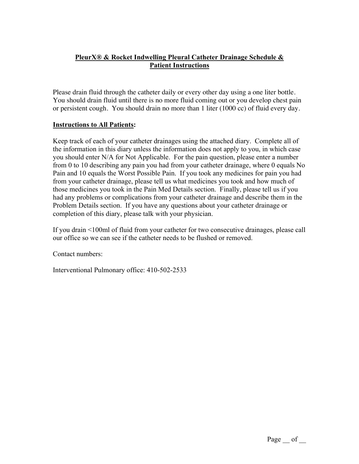## **PleurX® & Rocket Indwelling Pleural Catheter Drainage Schedule & Patient Instructions**

Please drain fluid through the catheter daily or every other day using a one liter bottle. You should drain fluid until there is no more fluid coming out or you develop chest pain or persistent cough. You should drain no more than 1 liter (1000 cc) of fluid every day.

## **Instructions to All Patients:**

Keep track of each of your catheter drainages using the attached diary. Complete all of the information in this diary unless the information does not apply to you, in which case you should enter N/A for Not Applicable. For the pain question, please enter a number from 0 to 10 describing any pain you had from your catheter drainage, where 0 equals No Pain and 10 equals the Worst Possible Pain. If you took any medicines for pain you had from your catheter drainage, please tell us what medicines you took and how much of those medicines you took in the Pain Med Details section. Finally, please tell us if you had any problems or complications from your catheter drainage and describe them in the Problem Details section. If you have any questions about your catheter drainage or completion of this diary, please talk with your physician.

If you drain <100ml of fluid from your catheter for two consecutive drainages, please call our office so we can see if the catheter needs to be flushed or removed.

Contact numbers:

Interventional Pulmonary office: 410-502-2533